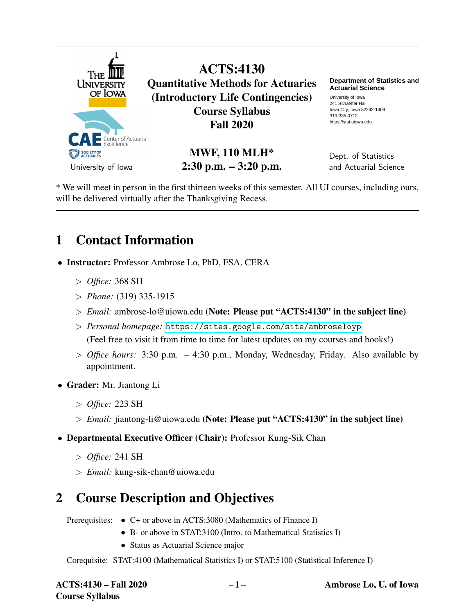

ACTS:4130 Quantitative Methods for Actuaries (Introductory Life Contingencies) Course Syllabus Fall 2020

> MWF, 110 MLH\* 2:30 p.m. – 3:20 p.m.

**Department of Statistics and Actuarial Science**

University of Iowa 241 Schaeffer Hall Iowa City, Iowa 52242-1409 319-335-0712 https://stat.uiowa.edu

Dept. of Statistics and Actuarial Science

\* We will meet in person in the first thirteen weeks of this semester. All UI courses, including ours, will be delivered virtually after the Thanksgiving Recess.

## 1 Contact Information

- Instructor: Professor Ambrose Lo, PhD, FSA, CERA
	- ✄ *Office:* 368 SH
	- ✄ *Phone:* (319) 335-1915
	- ✄ *Email:* ambrose-lo@uiowa.edu (Note: Please put "ACTS:4130" in the subject line)
	- ✄ *Personal homepage:* <https://sites.google.com/site/ambroseloyp> (Feel free to visit it from time to time for latest updates on my courses and books!)
	- $\triangleright$  *Office hours:* 3:30 p.m. 4:30 p.m., Monday, Wednesday, Friday. Also available by appointment.
- Grader: Mr. Jiantong Li
	- ✄ *Office:* 223 SH
	- ✄ *Email:* jiantong-li@uiowa.edu (Note: Please put "ACTS:4130" in the subject line)
- Departmental Executive Officer (Chair): Professor Kung-Sik Chan
	- ✄ *Office:* 241 SH
	- ✄ *Email:* kung-sik-chan@uiowa.edu

## 2 Course Description and Objectives

Prerequisites: • C+ or above in ACTS:3080 (Mathematics of Finance I)

- B- or above in STAT:3100 (Intro. to Mathematical Statistics I)
- Status as Actuarial Science major

Corequisite: STAT:4100 (Mathematical Statistics I) or STAT:5100 (Statistical Inference I)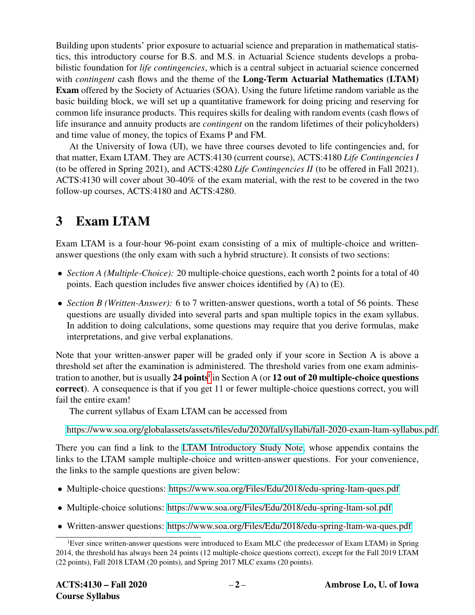Building upon students' prior exposure to actuarial science and preparation in mathematical statistics, this introductory course for B.S. and M.S. in Actuarial Science students develops a probabilistic foundation for *life contingencies*, which is a central subject in actuarial science concerned with *contingent* cash flows and the theme of the **Long-Term Actuarial Mathematics (LTAM)** Exam offered by the Society of Actuaries (SOA). Using the future lifetime random variable as the basic building block, we will set up a quantitative framework for doing pricing and reserving for common life insurance products. This requires skills for dealing with random events (cash flows of life insurance and annuity products are *contingent* on the random lifetimes of their policyholders) and time value of money, the topics of Exams P and FM.

At the University of Iowa (UI), we have three courses devoted to life contingencies and, for that matter, Exam LTAM. They are ACTS:4130 (current course), ACTS:4180 *Life Contingencies I* (to be offered in Spring 2021), and ACTS:4280 *Life Contingencies II* (to be offered in Fall 2021). ACTS:4130 will cover about 30-40% of the exam material, with the rest to be covered in the two follow-up courses, ACTS:4180 and ACTS:4280.

# 3 Exam LTAM

Exam LTAM is a four-hour 96-point exam consisting of a mix of multiple-choice and writtenanswer questions (the only exam with such a hybrid structure). It consists of two sections:

- *Section A (Multiple-Choice):* 20 multiple-choice questions, each worth 2 points for a total of 40 points. Each question includes five answer choices identified by (A) to (E).
- *Section B (Written-Answer)*: 6 to 7 written-answer questions, worth a total of 56 points. These questions are usually divided into several parts and span multiple topics in the exam syllabus. In addition to doing calculations, some questions may require that you derive formulas, make interpretations, and give verbal explanations.

Note that your written-answer paper will be graded only if your score in Section A is above a threshold set after the examination is administered. The threshold varies from one exam administrat[i](#page-1-0)on to another, but is usually 24 points<sup>i</sup> in Section A (or 12 out of 20 multiple-choice questions correct). A consequence is that if you get 11 or fewer multiple-choice questions correct, you will fail the entire exam!

The current syllabus of Exam LTAM can be accessed from

[https://www.soa.org/globalassets/assets/files/edu/2020/fall/syllabi/fall-2020-exam-ltam-syllabus.pdf.](https://www.soa.org/globalassets/assets/files/edu/2020/fall/syllabi/fall-2020-exam-ltam-syllabus.pdf)

There you can find a link to the [LTAM Introductory Study Note,](https://www.soa.org/globalassets/assets/files/edu/2020/fall/intro-study-notes/fall-2020-exam-ltam-intro-study-note.pdf) whose appendix contains the links to the LTAM sample multiple-choice and written-answer questions. For your convenience, the links to the sample questions are given below:

- Multiple-choice questions:<https://www.soa.org/Files/Edu/2018/edu-spring-ltam-ques.pdf>
- Multiple-choice solutions:<https://www.soa.org/Files/Edu/2018/edu-spring-ltam-sol.pdf>
- Written-answer questions:<https://www.soa.org/Files/Edu/2018/edu-spring-ltam-wa-ques.pdf>

<span id="page-1-0"></span><sup>&</sup>lt;sup>i</sup>Ever since written-answer questions were introduced to Exam MLC (the predecessor of Exam LTAM) in Spring 2014, the threshold has always been 24 points (12 multiple-choice questions correct), except for the Fall 2019 LTAM (22 points), Fall 2018 LTAM (20 points), and Spring 2017 MLC exams (20 points).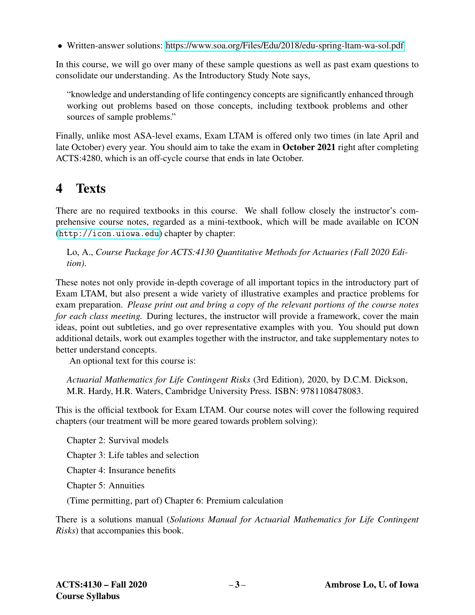• Written-answer solutions:<https://www.soa.org/Files/Edu/2018/edu-spring-ltam-wa-sol.pdf>

In this course, we will go over many of these sample questions as well as past exam questions to consolidate our understanding. As the Introductory Study Note says,

"knowledge and understanding of life contingency concepts are significantly enhanced through working out problems based on those concepts, including textbook problems and other sources of sample problems."

Finally, unlike most ASA-level exams, Exam LTAM is offered only two times (in late April and late October) every year. You should aim to take the exam in October 2021 right after completing ACTS:4280, which is an off-cycle course that ends in late October.

## 4 Texts

There are no required textbooks in this course. We shall follow closely the instructor's comprehensive course notes, regarded as a mini-textbook, which will be made available on ICON (<http://icon.uiowa.edu>) chapter by chapter:

Lo, A., *Course Package for ACTS:4130 Quantitative Methods for Actuaries (Fall 2020 Edition)*.

These notes not only provide in-depth coverage of all important topics in the introductory part of Exam LTAM, but also present a wide variety of illustrative examples and practice problems for exam preparation. *Please print out and bring a copy of the relevant portions of the course notes for each class meeting.* During lectures, the instructor will provide a framework, cover the main ideas, point out subtleties, and go over representative examples with you. You should put down additional details, work out examples together with the instructor, and take supplementary notes to better understand concepts.

An optional text for this course is:

*Actuarial Mathematics for Life Contingent Risks* (3rd Edition), 2020, by D.C.M. Dickson, M.R. Hardy, H.R. Waters, Cambridge University Press. ISBN: 9781108478083.

This is the official textbook for Exam LTAM. Our course notes will cover the following required chapters (our treatment will be more geared towards problem solving):

Chapter 2: Survival models Chapter 3: Life tables and selection

Chapter 4: Insurance benefits

Chapter 5: Annuities

(Time permitting, part of) Chapter 6: Premium calculation

There is a solutions manual (*Solutions Manual for Actuarial Mathematics for Life Contingent Risks*) that accompanies this book.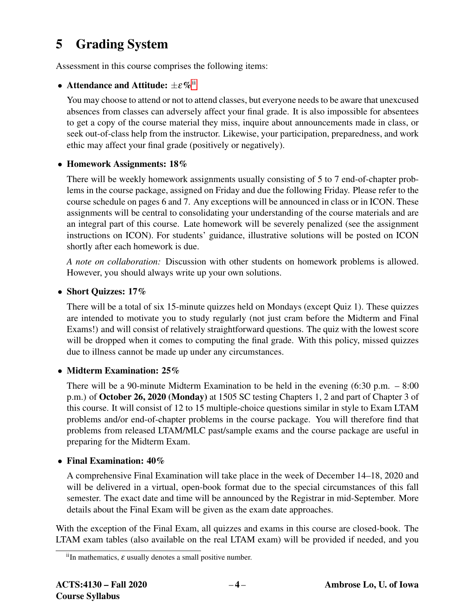## 5 Grading System

Assessment in this course comprises the following items:

### • Attendance and Attitude:  $\pm \varepsilon \%$ <sup>[ii](#page-3-0)</sup>

You may choose to attend or not to attend classes, but everyone needs to be aware that unexcused absences from classes can adversely affect your final grade. It is also impossible for absentees to get a copy of the course material they miss, inquire about announcements made in class, or seek out-of-class help from the instructor. Likewise, your participation, preparedness, and work ethic may affect your final grade (positively or negatively).

### • Homework Assignments: 18%

There will be weekly homework assignments usually consisting of 5 to 7 end-of-chapter problems in the course package, assigned on Friday and due the following Friday. Please refer to the course schedule on pages 6 and 7. Any exceptions will be announced in class or in ICON. These assignments will be central to consolidating your understanding of the course materials and are an integral part of this course. Late homework will be severely penalized (see the assignment instructions on ICON). For students' guidance, illustrative solutions will be posted on ICON shortly after each homework is due.

*A note on collaboration:* Discussion with other students on homework problems is allowed. However, you should always write up your own solutions.

### • Short Quizzes: 17%

There will be a total of six 15-minute quizzes held on Mondays (except Quiz 1). These quizzes are intended to motivate you to study regularly (not just cram before the Midterm and Final Exams!) and will consist of relatively straightforward questions. The quiz with the lowest score will be dropped when it comes to computing the final grade. With this policy, missed quizzes due to illness cannot be made up under any circumstances.

### • Midterm Examination: 25%

There will be a 90-minute Midterm Examination to be held in the evening  $(6:30 \text{ p.m. } -8:00$ p.m.) of October 26, 2020 (Monday) at 1505 SC testing Chapters 1, 2 and part of Chapter 3 of this course. It will consist of 12 to 15 multiple-choice questions similar in style to Exam LTAM problems and/or end-of-chapter problems in the course package. You will therefore find that problems from released LTAM/MLC past/sample exams and the course package are useful in preparing for the Midterm Exam.

### • Final Examination: 40%

A comprehensive Final Examination will take place in the week of December 14–18, 2020 and will be delivered in a virtual, open-book format due to the special circumstances of this fall semester. The exact date and time will be announced by the Registrar in mid-September. More details about the Final Exam will be given as the exam date approaches.

With the exception of the Final Exam, all quizzes and exams in this course are closed-book. The LTAM exam tables (also available on the real LTAM exam) will be provided if needed, and you

<span id="page-3-0"></span> $i$ <sup>i</sup>In mathematics,  $\varepsilon$  usually denotes a small positive number.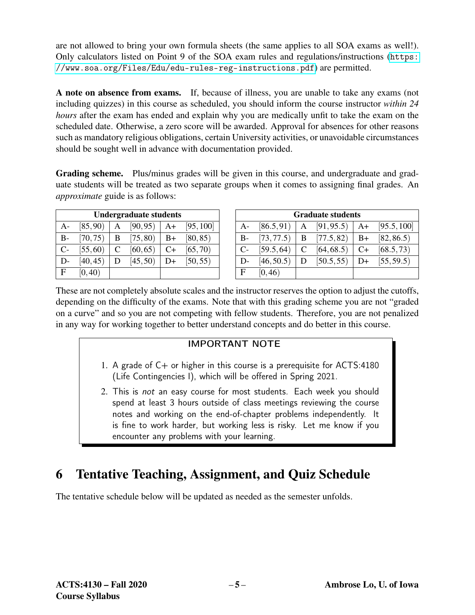are not allowed to bring your own formula sheets (the same applies to all SOA exams as well!). Only calculators listed on Point 9 of the SOA exam rules and regulations/instructions ([https:](https://www.soa.org/Files/Edu/edu-rules-reg-instructions.pdf) [//www.soa.org/Files/Edu/edu-rules-reg-instructions.pdf](https://www.soa.org/Files/Edu/edu-rules-reg-instructions.pdf)) are permitted.

A note on absence from exams. If, because of illness, you are unable to take any exams (not including quizzes) in this course as scheduled, you should inform the course instructor *within 24 hours* after the exam has ended and explain why you are medically unfit to take the exam on the scheduled date. Otherwise, a zero score will be awarded. Approval for absences for other reasons such as mandatory religious obligations, certain University activities, or unavoidable circumstances should be sought well in advance with documentation provided.

Grading scheme. Plus/minus grades will be given in this course, and undergraduate and graduate students will be treated as two separate groups when it comes to assigning final grades. An *approximate* guide is as follows:

| Undergraduate students |          |   |          |    |           |
|------------------------|----------|---|----------|----|-----------|
| A-                     | [85, 90) | А | [90, 95) | A+ | [95, 100] |
| B-                     | [70, 75) | B | [75, 80) | B+ | [80, 85)  |
| $C-$                   | [55, 60) | C | [60, 65) | C+ | [65, 70)  |
| D-                     | [40, 45) | D | [45, 50) | D+ | [50, 55)  |
| F.                     | [0, 40)  |   |          |    |           |

| <b>Graduate students</b> |            |   |               |      |             |
|--------------------------|------------|---|---------------|------|-------------|
| $A-$                     | [86.5, 91) | A | [91, 95.5]    | A+   | [95.5, 100] |
| $B -$                    | [73, 77.5] |   | $B$ [77.5,82) | $B+$ | [82, 86.5]  |
| $C-$                     | [59.5, 64] | C | [64, 68.5)    | $C+$ | [68.5, 73)  |
| D-                       | [46, 50.5) | D | [50.5, 55]    | D+   | [55, 59.5)  |
| $\mathbf{F}$             | [0, 46)    |   |               |      |             |

These are not completely absolute scales and the instructor reserves the option to adjust the cutoffs, depending on the difficulty of the exams. Note that with this grading scheme you are not "graded on a curve" and so you are not competing with fellow students. Therefore, you are not penalized in any way for working together to better understand concepts and do better in this course.

### IMPORTANT NOTE

- 1. A grade of  $C+$  or higher in this course is a prerequisite for ACTS:4180 (Life Contingencies I), which will be offered in Spring 2021.
- 2. This is not an easy course for most students. Each week you should spend at least 3 hours outside of class meetings reviewing the course notes and working on the end-of-chapter problems independently. It is fine to work harder, but working less is risky. Let me know if you encounter any problems with your learning.

# 6 Tentative Teaching, Assignment, and Quiz Schedule

The tentative schedule below will be updated as needed as the semester unfolds.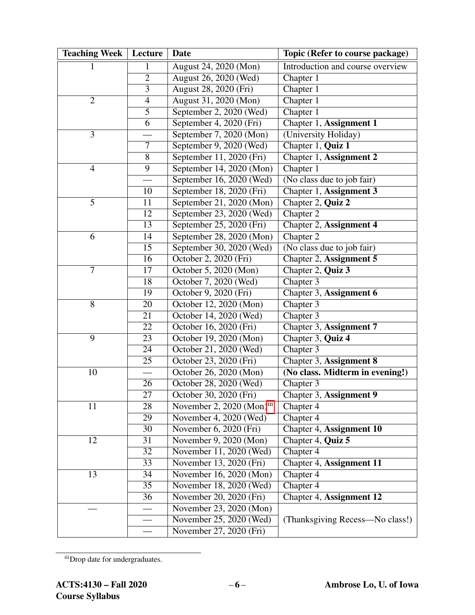| <b>Teaching Week</b> | Lecture         | Date                       | Topic (Refer to course package)  |  |
|----------------------|-----------------|----------------------------|----------------------------------|--|
| 1                    |                 | August 24, 2020 (Mon)      | Introduction and course overview |  |
|                      | $\overline{2}$  | August 26, 2020 (Wed)      | Chapter $1$                      |  |
|                      | $\overline{3}$  | August 28, 2020 (Fri)      | Chapter 1                        |  |
| $\overline{2}$       | 4               | August 31, 2020 (Mon)      | Chapter 1                        |  |
|                      | $\overline{5}$  | September 2, 2020 (Wed)    | Chapter 1                        |  |
|                      | 6               | September 4, 2020 (Fri)    | Chapter 1, Assignment 1          |  |
| 3                    |                 | September 7, 2020 (Mon)    | (University Holiday)             |  |
|                      | 7               | September 9, 2020 (Wed)    | Chapter 1, Quiz 1                |  |
|                      | 8               | September 11, 2020 (Fri)   | Chapter 1, Assignment 2          |  |
| $\overline{4}$       | 9               | September 14, 2020 (Mon)   | Chapter 1                        |  |
|                      |                 | September $16, 2020$ (Wed) | (No class due to job fair)       |  |
|                      | 10              | September 18, 2020 (Fri)   | Chapter 1, Assignment 3          |  |
| 5                    | 11              | September 21, 2020 (Mon)   | Chapter 2, Quiz 2                |  |
|                      | 12              | September 23, 2020 (Wed)   | Chapter 2                        |  |
|                      | 13              | September 25, 2020 (Fri)   | Chapter 2, Assignment 4          |  |
| 6                    | 14              | September 28, 2020 (Mon)   | Chapter 2                        |  |
|                      | 15              | September 30, 2020 (Wed)   | (No class due to job fair)       |  |
|                      | 16              | October 2, 2020 (Fri)      | Chapter 2, Assignment 5          |  |
| $\overline{7}$       | 17              | October 5, 2020 (Mon)      | Chapter 2, Quiz 3                |  |
|                      | 18              | October 7, 2020 (Wed)      | Chapter 3                        |  |
|                      | 19              | October 9, 2020 (Fri)      | Chapter 3, Assignment 6          |  |
| 8                    | 20              | October 12, 2020 (Mon)     | Chapter 3                        |  |
|                      | 21              | October 14, 2020 (Wed)     | Chapter 3                        |  |
|                      | 22              | October 16, 2020 (Fri)     | Chapter 3, Assignment 7          |  |
| 9                    | 23              | October 19, 2020 (Mon)     | Chapter 3, Quiz 4                |  |
|                      | 24              | October 21, 2020 (Wed)     | Chapter 3                        |  |
|                      | $\overline{25}$ | October 23, 2020 (Fri)     | Chapter 3, Assignment 8          |  |
| 10                   |                 | October 26, 2020 (Mon)     | (No class. Midterm in evening!)  |  |
|                      | 26              | October 28, 2020 (Wed)     | Chapter 3                        |  |
|                      | $\overline{27}$ | October 30, 2020 (Fri)     | Chapter 3, Assignment 9          |  |
| 11                   | 28              | November 2, 2020 (Mon)iii  | Chapter 4                        |  |
|                      | 29              | November 4, 2020 (Wed)     | Chapter 4                        |  |
|                      | 30              | November 6, 2020 (Fri)     | Chapter 4, Assignment 10         |  |
| 12                   | 31              | November 9, 2020 (Mon)     | Chapter 4, Quiz 5                |  |
|                      | 32              | November $11, 2020$ (Wed)  | Chapter 4                        |  |
|                      | 33              | November 13, 2020 (Fri)    | Chapter 4, Assignment 11         |  |
| 13                   | 34              | November 16, 2020 (Mon)    | Chapter 4                        |  |
|                      | 35              | November 18, 2020 (Wed)    | Chapter 4                        |  |
|                      | 36              | November 20, 2020 (Fri)    | Chapter 4, Assignment 12         |  |
|                      |                 | November 23, 2020 (Mon)    |                                  |  |
|                      |                 | November 25, 2020 (Wed)    | (Thanksgiving Recess—No class!)  |  |
|                      |                 | November 27, 2020 (Fri)    |                                  |  |

<span id="page-5-0"></span>iiiDrop date for undergraduates.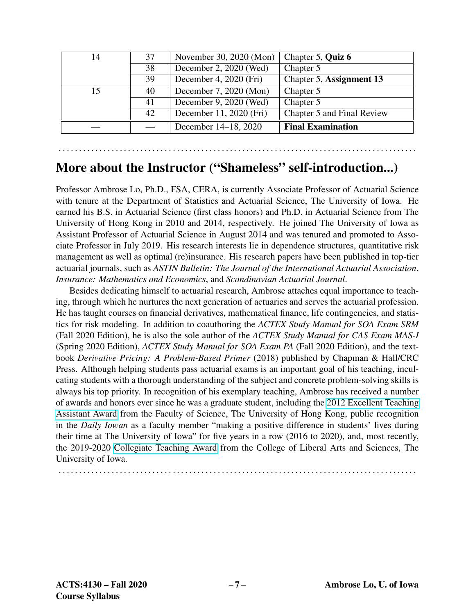| 14 | 37 | November 30, 2020 (Mon)  | Chapter 5, Quiz 6          |
|----|----|--------------------------|----------------------------|
|    | 38 | December 2, 2020 (Wed)   | Chapter 5                  |
|    | 39 | December 4, $2020$ (Fri) | Chapter 5, Assignment 13   |
| 15 | 40 | December 7, 2020 (Mon)   | Chapter 5                  |
|    | 41 | December 9, 2020 (Wed)   | Chapter 5                  |
|    | 42 | December 11, 2020 (Fri)  | Chapter 5 and Final Review |
|    |    | December 14-18, 2020     | <b>Final Examination</b>   |

. . . . . . . . . . . . . . . . . . . . . . . . . . . . . . . . . . . . . . . . . . . . . . . . . . . . . . . . . . . . . . . . . . . . . . . . . . . . . . . . . . . . . . . .

### More about the Instructor ("Shameless" self-introduction...)

Professor Ambrose Lo, Ph.D., FSA, CERA, is currently Associate Professor of Actuarial Science with tenure at the Department of Statistics and Actuarial Science, The University of Iowa. He earned his B.S. in Actuarial Science (first class honors) and Ph.D. in Actuarial Science from The University of Hong Kong in 2010 and 2014, respectively. He joined The University of Iowa as Assistant Professor of Actuarial Science in August 2014 and was tenured and promoted to Associate Professor in July 2019. His research interests lie in dependence structures, quantitative risk management as well as optimal (re)insurance. His research papers have been published in top-tier actuarial journals, such as *ASTIN Bulletin: The Journal of the International Actuarial Association*, *Insurance: Mathematics and Economics*, and *Scandinavian Actuarial Journal*.

Besides dedicating himself to actuarial research, Ambrose attaches equal importance to teaching, through which he nurtures the next generation of actuaries and serves the actuarial profession. He has taught courses on financial derivatives, mathematical finance, life contingencies, and statistics for risk modeling. In addition to coauthoring the *ACTEX Study Manual for SOA Exam SRM* (Fall 2020 Edition), he is also the sole author of the *ACTEX Study Manual for CAS Exam MAS-I* (Spring 2020 Edition), *ACTEX Study Manual for SOA Exam PA* (Fall 2020 Edition), and the textbook *Derivative Pricing: A Problem-Based Primer* (2018) published by Chapman & Hall/CRC Press. Although helping students pass actuarial exams is an important goal of his teaching, inculcating students with a thorough understanding of the subject and concrete problem-solving skills is always his top priority. In recognition of his exemplary teaching, Ambrose has received a number of awards and honors ever since he was a graduate student, including the [2012 Excellent Teaching](https://www.scifac.hku.hk/award-achievement/award-excellence-teaching-assistant-2011-12-2) [Assistant Award](https://www.scifac.hku.hk/award-achievement/award-excellence-teaching-assistant-2011-12-2) from the Faculty of Science, The University of Hong Kong, public recognition in the *Daily Iowan* as a faculty member "making a positive difference in students' lives during their time at The University of Iowa" for five years in a row (2016 to 2020), and, most recently, the 2019-2020 [Collegiate Teaching Award](https://clas.uiowa.edu/news/collegiate-teaching-award-honors-seven-college-liberal-arts-and-sciences-instructors) from the College of Liberal Arts and Sciences, The University of Iowa.

. . . . . . . . . . . . . . . . . . . . . . . . . . . . . . . . . . . . . . . . . . . . . . . . . . . . . . . . . . . . . . . . . . . . . . . . . . . . . . . . . . . . . . . .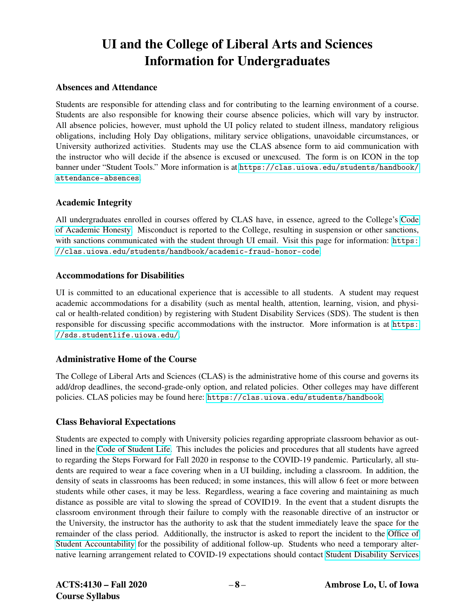# UI and the College of Liberal Arts and Sciences Information for Undergraduates

#### Absences and Attendance

Students are responsible for attending class and for contributing to the learning environment of a course. Students are also responsible for knowing their course absence policies, which will vary by instructor. All absence policies, however, must uphold the UI policy related to student illness, mandatory religious obligations, including Holy Day obligations, military service obligations, unavoidable circumstances, or University authorized activities. Students may use the CLAS absence form to aid communication with the instructor who will decide if the absence is excused or unexcused. The form is on ICON in the top banner under "Student Tools." More information is at [https://clas.uiowa.edu/students/handbook/](https://clas.uiowa.edu/students/handbook/attendance-absences) [attendance-absences](https://clas.uiowa.edu/students/handbook/attendance-absences).

#### Academic Integrity

All undergraduates enrolled in courses offered by CLAS have, in essence, agreed to the College's [Code](https://clas.uiowa.edu/students/handbook/academic-fraud-honor-code) [of Academic Honesty.](https://clas.uiowa.edu/students/handbook/academic-fraud-honor-code) Misconduct is reported to the College, resulting in suspension or other sanctions, with sanctions communicated with the student through UI email. Visit this page for information: [https:](https://clas.uiowa.edu/students/handbook/academic-fraud-honor-code) [//clas.uiowa.edu/students/handbook/academic-fraud-honor-code](https://clas.uiowa.edu/students/handbook/academic-fraud-honor-code).

#### Accommodations for Disabilities

UI is committed to an educational experience that is accessible to all students. A student may request academic accommodations for a disability (such as mental health, attention, learning, vision, and physical or health-related condition) by registering with Student Disability Services (SDS). The student is then responsible for discussing specific accommodations with the instructor. More information is at [https:](https://sds.studentlife.uiowa.edu/) [//sds.studentlife.uiowa.edu/](https://sds.studentlife.uiowa.edu/).

#### Administrative Home of the Course

The College of Liberal Arts and Sciences (CLAS) is the administrative home of this course and governs its add/drop deadlines, the second-grade-only option, and related policies. Other colleges may have different policies. CLAS policies may be found here: <https://clas.uiowa.edu/students/handbook>.

#### Class Behavioral Expectations

Students are expected to comply with University policies regarding appropriate classroom behavior as outlined in the [Code of Student Life.](https://dos.uiowa.edu/policies/code-of-student-life/) This includes the policies and procedures that all students have agreed to regarding the Steps Forward for Fall 2020 in response to the COVID-19 pandemic. Particularly, all students are required to wear a face covering when in a UI building, including a classroom. In addition, the density of seats in classrooms has been reduced; in some instances, this will allow 6 feet or more between students while other cases, it may be less. Regardless, wearing a face covering and maintaining as much distance as possible are vital to slowing the spread of COVID19. In the event that a student disrupts the classroom environment through their failure to comply with the reasonable directive of an instructor or the University, the instructor has the authority to ask that the student immediately leave the space for the remainder of the class period. Additionally, the instructor is asked to report the incident to the [Office of](https://dos.uiowa.edu/accountability/) [Student Accountability](https://dos.uiowa.edu/accountability/) for the possibility of additional follow-up. Students who need a temporary alternative learning arrangement related to COVID-19 expectations should contact [Student Disability Services](https://sds.studentlife.uiowa.edu/)